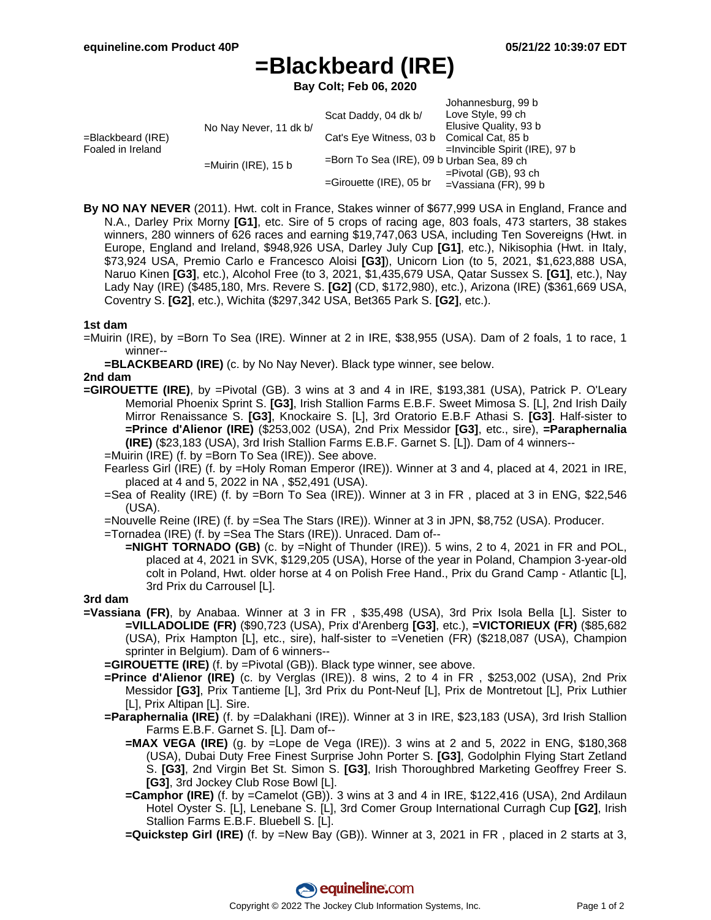# **=Blackbeard (IRE)**

**Bay Colt; Feb 06, 2020**

|                                           |                        | Scat Daddy, 04 dk b/                      | Johannesburg, 99 b<br>Love Style, 99 ch |
|-------------------------------------------|------------------------|-------------------------------------------|-----------------------------------------|
| $=$ Blackbeard (IRE)<br>Foaled in Ireland | No Nay Never, 11 dk b/ |                                           | Elusive Quality, 93 b                   |
|                                           |                        | Cat's Eye Witness, 03 b Comical Cat, 85 b |                                         |
|                                           |                        |                                           | $=$ Invincible Spirit (IRE), 97 b       |
|                                           | $=$ Muirin (IRE), 15 b | =Born To Sea (IRE), 09 b Urban Sea, 89 ch |                                         |
|                                           |                        |                                           | $=$ Pivotal (GB), 93 ch                 |
|                                           |                        | $=$ Girouette (IRE), 05 br                | $=$ Vassiana (FR), 99 b                 |

**By NO NAY NEVER** (2011). Hwt. colt in France, Stakes winner of \$677,999 USA in England, France and N.A., Darley Prix Morny **[G1]**, etc. Sire of 5 crops of racing age, 803 foals, 473 starters, 38 stakes winners, 280 winners of 626 races and earning \$19,747,063 USA, including Ten Sovereigns (Hwt. in Europe, England and Ireland, \$948,926 USA, Darley July Cup **[G1]**, etc.), Nikisophia (Hwt. in Italy, \$73,924 USA, Premio Carlo e Francesco Aloisi **[G3]**), Unicorn Lion (to 5, 2021, \$1,623,888 USA, Naruo Kinen **[G3]**, etc.), Alcohol Free (to 3, 2021, \$1,435,679 USA, Qatar Sussex S. **[G1]**, etc.), Nay Lady Nay (IRE) (\$485,180, Mrs. Revere S. **[G2]** (CD, \$172,980), etc.), Arizona (IRE) (\$361,669 USA, Coventry S. **[G2]**, etc.), Wichita (\$297,342 USA, Bet365 Park S. **[G2]**, etc.).

# **1st dam**

- =Muirin (IRE), by =Born To Sea (IRE). Winner at 2 in IRE, \$38,955 (USA). Dam of 2 foals, 1 to race, 1 winner--
	- **=BLACKBEARD (IRE)** (c. by No Nay Never). Black type winner, see below.

# **2nd dam**

- **=GIROUETTE (IRE)**, by =Pivotal (GB). 3 wins at 3 and 4 in IRE, \$193,381 (USA), Patrick P. O'Leary Memorial Phoenix Sprint S. **[G3]**, Irish Stallion Farms E.B.F. Sweet Mimosa S. [L], 2nd Irish Daily Mirror Renaissance S. **[G3]**, Knockaire S. [L], 3rd Oratorio E.B.F Athasi S. **[G3]**. Half-sister to **=Prince d'Alienor (IRE)** (\$253,002 (USA), 2nd Prix Messidor **[G3]**, etc., sire), **=Paraphernalia (IRE)** (\$23,183 (USA), 3rd Irish Stallion Farms E.B.F. Garnet S. [L]). Dam of 4 winners--
	- =Muirin (IRE) (f. by =Born To Sea (IRE)). See above.
	- Fearless Girl (IRE) (f. by =Holy Roman Emperor (IRE)). Winner at 3 and 4, placed at 4, 2021 in IRE, placed at 4 and 5, 2022 in NA , \$52,491 (USA).
	- =Sea of Reality (IRE) (f. by =Born To Sea (IRE)). Winner at 3 in FR , placed at 3 in ENG, \$22,546 (USA).
	- =Nouvelle Reine (IRE) (f. by =Sea The Stars (IRE)). Winner at 3 in JPN, \$8,752 (USA). Producer.

=Tornadea (IRE) (f. by =Sea The Stars (IRE)). Unraced. Dam of--

**=NIGHT TORNADO (GB)** (c. by =Night of Thunder (IRE)). 5 wins, 2 to 4, 2021 in FR and POL, placed at 4, 2021 in SVK, \$129,205 (USA), Horse of the year in Poland, Champion 3-year-old colt in Poland, Hwt. older horse at 4 on Polish Free Hand., Prix du Grand Camp - Atlantic [L], 3rd Prix du Carrousel [L].

# **3rd dam**

- **=Vassiana (FR)**, by Anabaa. Winner at 3 in FR , \$35,498 (USA), 3rd Prix Isola Bella [L]. Sister to **=VILLADOLIDE (FR)** (\$90,723 (USA), Prix d'Arenberg **[G3]**, etc.), **=VICTORIEUX (FR)** (\$85,682 (USA), Prix Hampton [L], etc., sire), half-sister to =Venetien (FR) (\$218,087 (USA), Champion sprinter in Belgium). Dam of 6 winners--
	- **=GIROUETTE (IRE)** (f. by =Pivotal (GB)). Black type winner, see above.
	- **=Prince d'Alienor (IRE)** (c. by Verglas (IRE)). 8 wins, 2 to 4 in FR , \$253,002 (USA), 2nd Prix Messidor **[G3]**, Prix Tantieme [L], 3rd Prix du Pont-Neuf [L], Prix de Montretout [L], Prix Luthier [L], Prix Altipan [L]. Sire.
	- **=Paraphernalia (IRE)** (f. by =Dalakhani (IRE)). Winner at 3 in IRE, \$23,183 (USA), 3rd Irish Stallion Farms E.B.F. Garnet S. [L]. Dam of--
		- **=MAX VEGA (IRE)** (g. by =Lope de Vega (IRE)). 3 wins at 2 and 5, 2022 in ENG, \$180,368 (USA), Dubai Duty Free Finest Surprise John Porter S. **[G3]**, Godolphin Flying Start Zetland S. **[G3]**, 2nd Virgin Bet St. Simon S. **[G3]**, Irish Thoroughbred Marketing Geoffrey Freer S. **[G3]**, 3rd Jockey Club Rose Bowl [L].
		- **=Camphor (IRE)** (f. by =Camelot (GB)). 3 wins at 3 and 4 in IRE, \$122,416 (USA), 2nd Ardilaun Hotel Oyster S. [L], Lenebane S. [L], 3rd Comer Group International Curragh Cup **[G2]**, Irish Stallion Farms E.B.F. Bluebell S. [L].
		- **=Quickstep Girl (IRE)** (f. by =New Bay (GB)). Winner at 3, 2021 in FR , placed in 2 starts at 3,